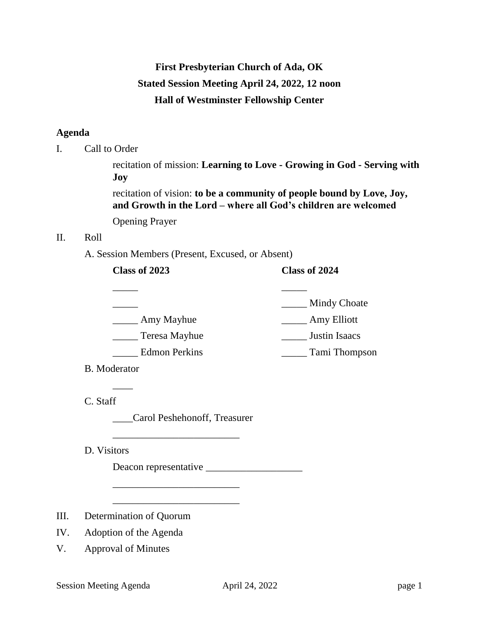## **First Presbyterian Church of Ada, OK Stated Session Meeting April 24, 2022, 12 noon Hall of Westminster Fellowship Center**

## **Agenda**

I. Call to Order

recitation of mission: **Learning to Love - Growing in God - Serving with Joy**

recitation of vision: **to be a community of people bound by Love, Joy, and Growth in the Lord – where all God's children are welcomed**

Opening Prayer

## II. Roll

A. Session Members (Present, Excused, or Absent)

| Class of 2023        | Class of 2024 |
|----------------------|---------------|
|                      |               |
|                      | Mindy Choate  |
| Amy Mayhue           | Amy Elliott   |
| Teresa Mayhue        | Justin Isaacs |
| <b>Edmon Perkins</b> | Tami Thompson |

B. Moderator

 $\overline{\phantom{a}}$ 

C. Staff

\_\_\_\_Carol Peshehonoff, Treasurer

\_\_\_\_\_\_\_\_\_\_\_\_\_\_\_\_\_\_\_\_\_\_\_\_\_

\_\_\_\_\_\_\_\_\_\_\_\_\_\_\_\_\_\_\_\_\_\_\_\_\_

\_\_\_\_\_\_\_\_\_\_\_\_\_\_\_\_\_\_\_\_\_\_\_\_\_

D. Visitors

Deacon representative \_\_\_\_\_\_\_\_\_\_\_\_\_\_\_\_\_\_\_

- III. Determination of Quorum
- IV. Adoption of the Agenda
- V. Approval of Minutes

Session Meeting Agenda April 24, 2022 **page 1**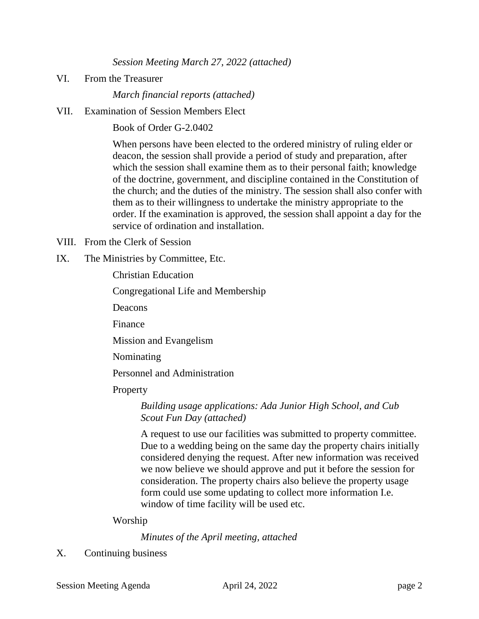*Session Meeting March 27, 2022 (attached)*

VI. From the Treasurer

*March financial reports (attached)*

VII. Examination of Session Members Elect

Book of Order G-2.0402

When persons have been elected to the ordered ministry of ruling elder or deacon, the session shall provide a period of study and preparation, after which the session shall examine them as to their personal faith; knowledge of the doctrine, government, and discipline contained in the Constitution of the church; and the duties of the ministry. The session shall also confer with them as to their willingness to undertake the ministry appropriate to the order. If the examination is approved, the session shall appoint a day for the service of ordination and installation.

- VIII. From the Clerk of Session
- IX. The Ministries by Committee, Etc.
	- Christian Education

Congregational Life and Membership

Deacons

Finance

Mission and Evangelism

Nominating

Personnel and Administration

Property

*Building usage applications: Ada Junior High School, and Cub Scout Fun Day (attached)*

A request to use our facilities was submitted to property committee. Due to a wedding being on the same day the property chairs initially considered denying the request. After new information was received we now believe we should approve and put it before the session for consideration. The property chairs also believe the property usage form could use some updating to collect more information I.e. window of time facility will be used etc.

Worship

*Minutes of the April meeting, attached*

X. Continuing business